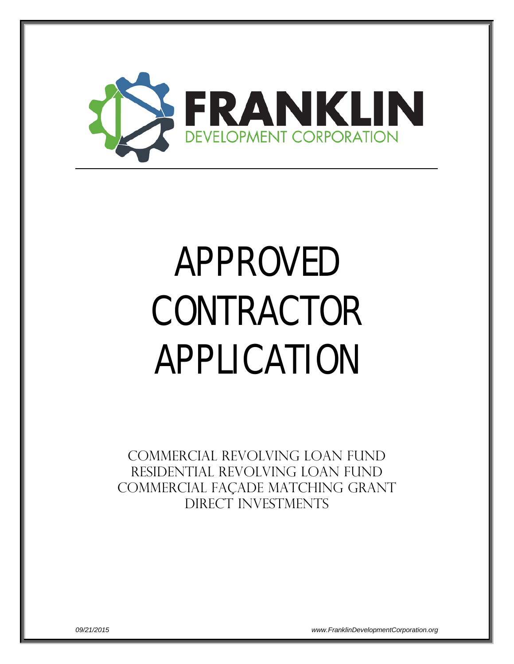

# APPROVED CONTRACTOR APPLICATION

Commercial Revolving Loan Fund Residential Revolving loan fund COMMERCIAL façade matching grant DIRECT INVESTMENTS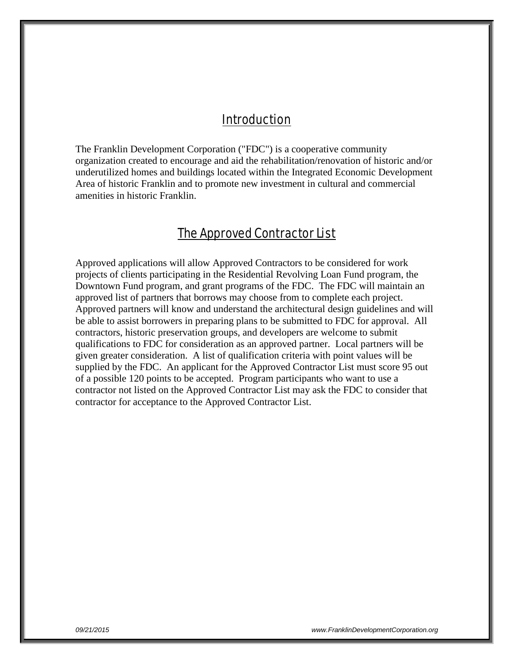## Introduction

The Franklin Development Corporation ("FDC") is a cooperative community organization created to encourage and aid the rehabilitation/renovation of historic and/or underutilized homes and buildings located within the Integrated Economic Development Area of historic Franklin and to promote new investment in cultural and commercial amenities in historic Franklin.

## The Approved Contractor List

Approved applications will allow Approved Contractors to be considered for work projects of clients participating in the Residential Revolving Loan Fund program, the Downtown Fund program, and grant programs of the FDC. The FDC will maintain an approved list of partners that borrows may choose from to complete each project. Approved partners will know and understand the architectural design guidelines and will be able to assist borrowers in preparing plans to be submitted to FDC for approval. All contractors, historic preservation groups, and developers are welcome to submit qualifications to FDC for consideration as an approved partner. Local partners will be given greater consideration. A list of qualification criteria with point values will be supplied by the FDC. An applicant for the Approved Contractor List must score 95 out of a possible 120 points to be accepted. Program participants who want to use a contractor not listed on the Approved Contractor List may ask the FDC to consider that contractor for acceptance to the Approved Contractor List.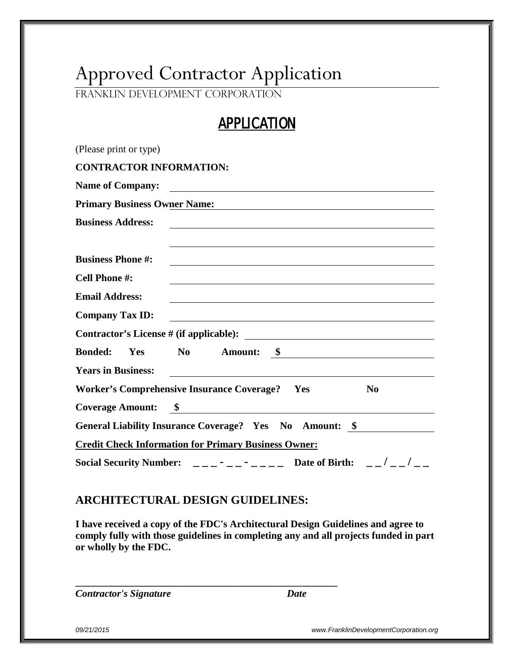## Approved Contractor Application

Franklin Development Corporation

## APPLICATION

| (Please print or type)                                                                                                                                                                                                                                  |
|---------------------------------------------------------------------------------------------------------------------------------------------------------------------------------------------------------------------------------------------------------|
| <b>CONTRACTOR INFORMATION:</b>                                                                                                                                                                                                                          |
| <b>Name of Company:</b>                                                                                                                                                                                                                                 |
| <b>Primary Business Owner Name:</b>                                                                                                                                                                                                                     |
| <b>Business Address:</b><br><u> 1989 - Johann Stoff, deutscher Stoff, der Stoff, der Stoff, der Stoff, der Stoff, der Stoff, der Stoff, der S</u>                                                                                                       |
|                                                                                                                                                                                                                                                         |
| <b>Business Phone #:</b>                                                                                                                                                                                                                                |
| Cell Phone #:                                                                                                                                                                                                                                           |
| <b>Email Address:</b>                                                                                                                                                                                                                                   |
| <b>Company Tax ID:</b><br>the control of the control of the control of the control of the control of the control of the control of the control of the control of the control of the control of the control of the control of the control of the control |
|                                                                                                                                                                                                                                                         |
| Yes No Amount: <u>\$</u><br><b>Bonded:</b>                                                                                                                                                                                                              |
| <b>Years in Business:</b><br><u> 1989 - Johann Stein, mars an deus Amerikaansk kommunister (* 1950)</u>                                                                                                                                                 |
| Worker's Comprehensive Insurance Coverage?  Yes<br>N <sub>0</sub>                                                                                                                                                                                       |
|                                                                                                                                                                                                                                                         |
| General Liability Insurance Coverage? Yes No Amount: \$                                                                                                                                                                                                 |
| <b>Credit Check Information for Primary Business Owner:</b>                                                                                                                                                                                             |
| Social Security Number: $\frac{1}{2}$ $\frac{1}{2}$ $\frac{1}{2}$ $\frac{1}{2}$ $\frac{1}{2}$ $\frac{1}{2}$ Date of Birth: $\frac{1}{2}$ $\frac{1}{2}$ $\frac{1}{2}$ $\frac{1}{2}$                                                                      |

## **ARCHITECTURAL DESIGN GUIDELINES:**

**\_\_\_\_\_\_\_\_\_\_\_\_\_\_\_\_\_\_\_\_\_\_\_\_\_\_\_\_\_\_\_\_\_\_\_\_\_\_\_\_\_\_\_\_\_\_\_\_\_\_\_\_**

**I have received a copy of the FDC's Architectural Design Guidelines and agree to comply fully with those guidelines in completing any and all projects funded in part or wholly by the FDC.**

*Contractor's Signature Date*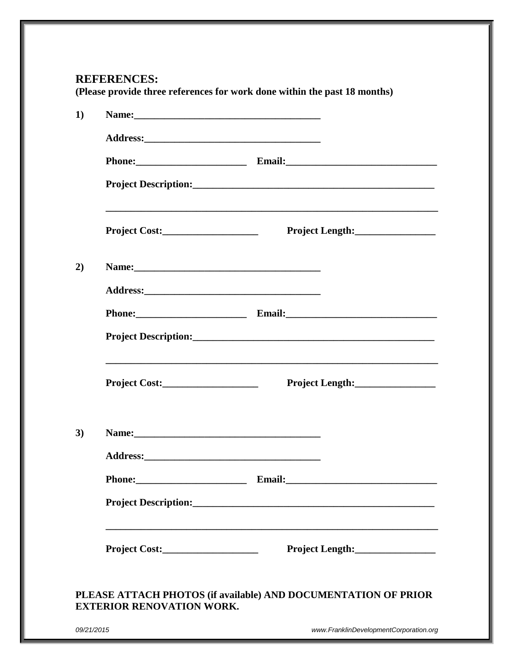## **REFERENCES:**

**(Please provide three references for work done within the past 18 months)**

| Name: 2008. 2008. 2010. 2010. 2010. 2010. 2010. 2010. 2010. 2010. 2010. 2010. 2010. 2010. 2010. 2010. 2010. 20 |                                                                                                                                     |
|----------------------------------------------------------------------------------------------------------------|-------------------------------------------------------------------------------------------------------------------------------------|
|                                                                                                                |                                                                                                                                     |
|                                                                                                                |                                                                                                                                     |
|                                                                                                                |                                                                                                                                     |
| Project Cost:                                                                                                  | and the control of the control of the control of the control of the control of the control of the control of the<br>Project Length: |
| Name: Name:                                                                                                    |                                                                                                                                     |
|                                                                                                                |                                                                                                                                     |
|                                                                                                                | Phone: Email: Email:                                                                                                                |
|                                                                                                                |                                                                                                                                     |
|                                                                                                                | Project Length:                                                                                                                     |
|                                                                                                                |                                                                                                                                     |
|                                                                                                                |                                                                                                                                     |
| Phone:                                                                                                         | Email:                                                                                                                              |
|                                                                                                                |                                                                                                                                     |
|                                                                                                                |                                                                                                                                     |